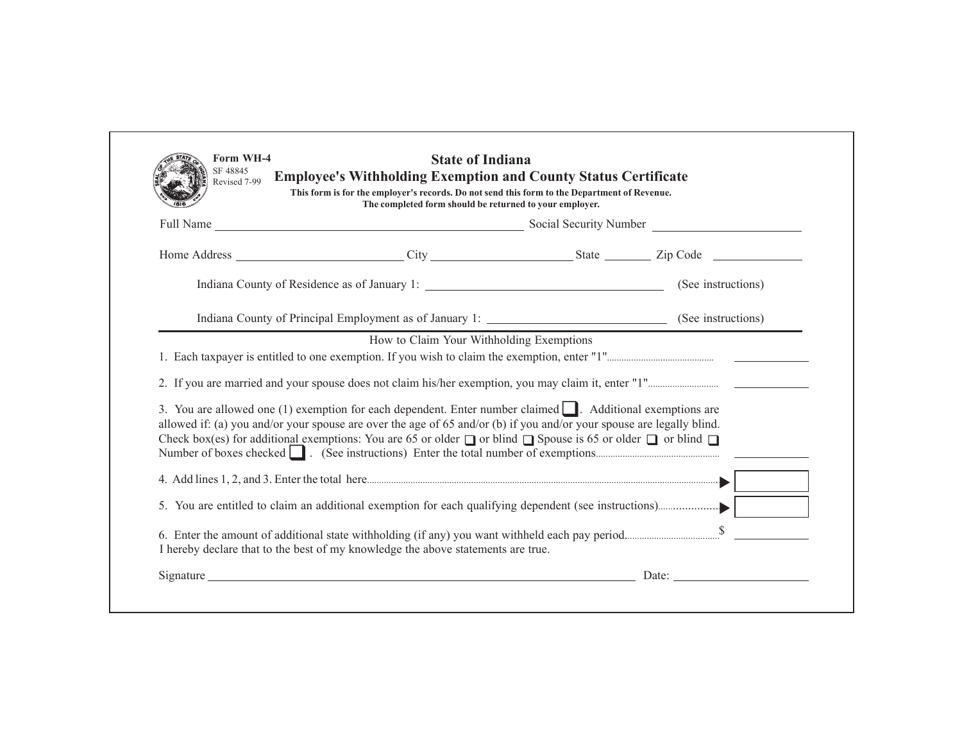| The completed form should be returned to your employer.                                                                                                                                                                                                                                                                                                                       |  |  |
|-------------------------------------------------------------------------------------------------------------------------------------------------------------------------------------------------------------------------------------------------------------------------------------------------------------------------------------------------------------------------------|--|--|
|                                                                                                                                                                                                                                                                                                                                                                               |  |  |
|                                                                                                                                                                                                                                                                                                                                                                               |  |  |
|                                                                                                                                                                                                                                                                                                                                                                               |  |  |
|                                                                                                                                                                                                                                                                                                                                                                               |  |  |
|                                                                                                                                                                                                                                                                                                                                                                               |  |  |
| 3. You are allowed one (1) exemption for each dependent. Enter number claimed $\Box$ . Additional exemptions are<br>allowed if: (a) you and/or your spouse are over the age of 65 and/or (b) if you and/or your spouse are legally blind.<br>Check box(es) for additional exemptions: You are 65 or older $\Box$ or blind $\Box$ Spouse is 65 or older $\Box$ or blind $\Box$ |  |  |
|                                                                                                                                                                                                                                                                                                                                                                               |  |  |
|                                                                                                                                                                                                                                                                                                                                                                               |  |  |